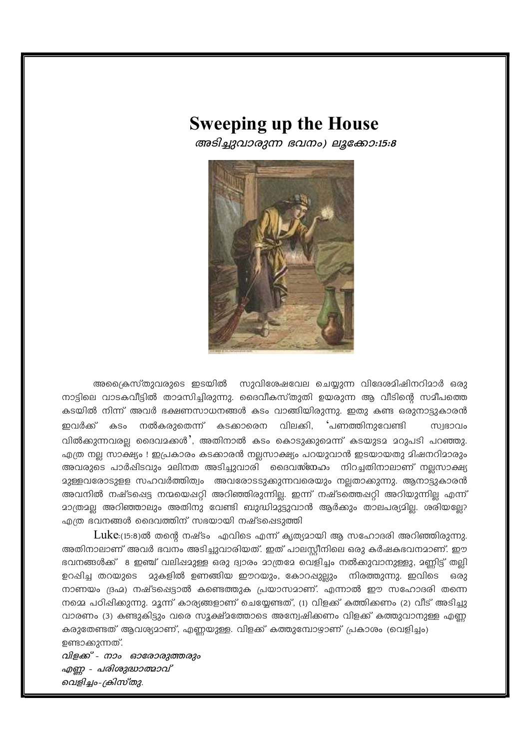## **Sweeping up the House**

അടിച്ചുവാരുന്ന ഭവനം) ലൂക്കോ:15:8



അക്രൈസ്തുവരുടെ ഇടയിൽ സുവിശേഷവേല ചെയ്യുന്ന വിദേശമിഷിനറിമാർ ഒരു നാട്ടിലെ വാടകവീട്ടിൽ താമസിച്ചിരുന്നു. ദൈവീകസ്തുതി ഉയരുന്ന ആ വീടിന്റെ സമീപത്തെ കടയിൽ നിന്ന് അവർ ഭക്ഷണസാധനങ്ങൾ കടം വാങ്ങിയിരുന്നു. ഇതു കണ്ട ഒരുനാട്ടുകാരൻ ഇവർക്ക് കടം നൽകരുതെന്ന് കടക്കാരെന വിലക്കി, 'പണത്തിനുവേണ്ടി **COCEIUD** വിൽക്കുന്നവരല്ല ദൈവമക്കൾ', അതിനാൽ കടം കൊടുക്കുമെന്ന് കടയുടമ മറുപടി പറഞ്ഞു. എത്ര നല സാക്ഷ്യം ! ഇപ്രകാരം കടക്കാരൻ നലസാക്ഷ്യം പറയുവാൻ ഇടയായതു മിഷനറിമാരും അവരുടെ പാർഷിടവും മലിനത അടിച്ചുവാരി ദൈവസ്നേഹം നിറച്ചതിനാലാണ് നലസാക്ഷ്യ മുള്ളവരോടുളള സഹവർത്തിത്വം അവരോടടുക്കുന്നവരെയും നല്ലതാക്കുന്നു. ആനാട്ടുകാരൻ അവനിൽ നഷ്ടപ്പെട്ട നന്മയെഷറി അറിഞ്ഞിരുന്നില. ഇന്ന് നഷ്ടത്തെഷറി അറിയുന്നില എന്ന് മാത്രമല അറിഞ്ഞാലും അതിനു വേണ്ടി ബുദ്ധിമുട്ടുവാൻ ആർക്കും താലപര്യമില. ശരിയലേ? എത്ര ഭവനങ്ങൾ ദൈവത്തിന് സഭയായി നഷ്ടപ്പെടുത്തി

 $Luke$ :(15:8)ൽ തന്റെ നഷ്ടം എവിടെ എന്ന് കൃത്യമായി ആ സഹോദരി അറിഞ്ഞിരുന്നു. അതിനാലാണ് അവർ ഭവനം അടിച്ചുവാരിയത്. ഇത് പാലസ്റ്റീനിലെ ഒരു കർഷകഭവനമാണ്. ഈ ഭവനങ്ങൾക്ക് 8 ഇഞ്ച് വലിഷമുള്ള ഒരു ദ്വാരം മാത്രമേ വെളിച്ചം നൽക്കുവാനുള്ളു, മണ്ണിട്ട് തല്ലി ഉറപ്പിച്ച തറയുടെ മുകളിൽ ഉണങ്ങിയ ഈറയും, കോറപ്പുല്ലും നിരത്തുന്നു. ഇവിടെ ഒരു നാണയം ഭ്രഹ്മ) നഷ്ടപ്പെട്ടാൽ കണ്ടെത്തുക പ്രയാസമാണ്. എന്നാൽ ഈ സഹോദരി തന്നെ നമ്മെ പഠിപ്പിക്കുന്നു. മൂന്ന് കാര്യങ്ങളാണ് ചെയ്യേണ്ടത്, (1) വിളക്ക് കത്തിക്കണം (2) വീട് അടിച്ചു വാരണം (3) കണ്ടുകിട്ടും വരെ സൂക്ഷ്മത്തോടെ അന്വേഷിക്കണം വിളക്ക് കത്തുവാനുള്ള എണ്ണ കരുതേണ്ടത് ആവശ്യമാണ്, എണ്ണയുള്ള. വിളക്ക് കത്തുമ്പോഴാണ് പ്രകാശം (വെളിച്ചം) ഉണ്ടാക്കുന്നത്.

വിളക്ക് - നാം ഓരോരുത്തരും എണ്ണ - പരിശുദ്ധാത്മാവ് വെളിച്ചം-ക്രിസ്തു.